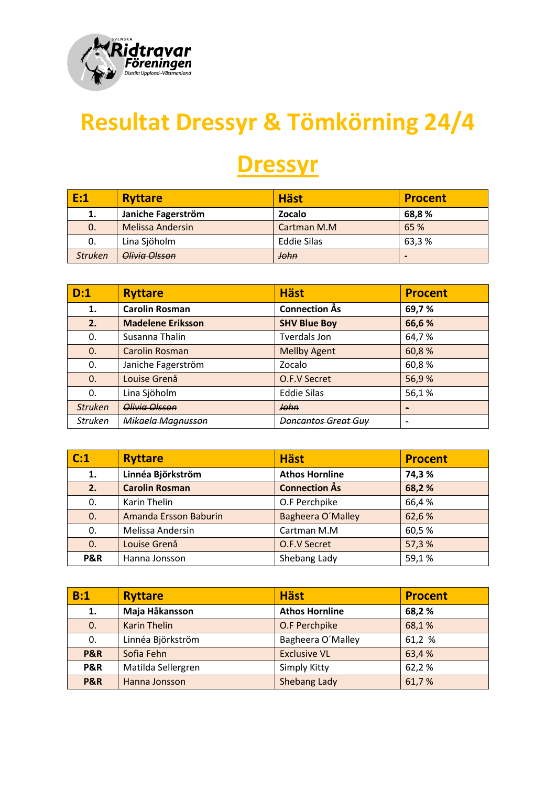

## **Resultat Dressyr & Tömkörning 24/4**

## **Dressyr**

| E:1            | <b>Ryttare</b>          | <b>Häst</b> | <b>Procent</b> |
|----------------|-------------------------|-------------|----------------|
| 1.             | Janiche Fagerström      | Zocalo      | 68,8 %         |
| 0.             | <b>Melissa Andersin</b> | Cartman M.M | 65 %           |
| 0.             | Lina Sjöholm            | Eddie Silas | 63,3%          |
| <b>Struken</b> | Olivia Olsson           | John        | $\blacksquare$ |

| D:1            | <b>Ryttare</b>           | <b>Häst</b>                    | <b>Procent</b> |
|----------------|--------------------------|--------------------------------|----------------|
| 1.             | <b>Carolin Rosman</b>    | <b>Connection Ås</b>           | 69,7%          |
| 2.             | <b>Madelene Eriksson</b> | <b>SHV Blue Boy</b>            | 66,6%          |
| 0.             | Susanna Thalin           | Tverdals Jon                   | 64,7%          |
| $\mathbf{0}$   | <b>Carolin Rosman</b>    | <b>Mellby Agent</b>            | 60,8%          |
| 0.             | Janiche Fagerström       | Zocalo                         | 60,8%          |
| $\mathbf{0}$   | Louise Grenå             | O.F.V Secret                   | 56,9%          |
| 0.             | Lina Sjöholm             | <b>Eddie Silas</b>             | 56,1%          |
| <b>Struken</b> | Olivia Olsson            | John                           |                |
| <b>Struken</b> | Mikaela Magnusson        | <del>Doncantos Great Guv</del> |                |

| C:1            | <b>Ryttare</b>               | <b>Häst</b>           | <b>Procent</b> |
|----------------|------------------------------|-----------------------|----------------|
| 1.             | Linnéa Björkström            | <b>Athos Hornline</b> | 74,3%          |
| 2.1            | <b>Carolin Rosman</b>        | <b>Connection Ås</b>  | 68,2%          |
| 0.             | Karin Thelin                 | O.F Perchpike         | 66,4%          |
| 0.             | <b>Amanda Ersson Baburin</b> | Bagheera O'Malley     | 62,6%          |
| 0.             | Melissa Andersin             | Cartman M.M           | 60,5%          |
| 0.             | Louise Grenå                 | O.F.V Secret          | 57,3%          |
| <b>P&amp;R</b> | Hanna Jonsson                | Shebang Lady          | 59,1%          |

| B:1            | <b>Ryttare</b>      | <b>Häst</b>           | <b>Procent</b> |
|----------------|---------------------|-----------------------|----------------|
| 1.             | Maja Håkansson      | <b>Athos Hornline</b> | 68,2%          |
| 0.             | <b>Karin Thelin</b> | O.F Perchpike         | 68,1%          |
| 0.             | Linnéa Björkström   | Bagheera O'Malley     | 61,2 %         |
| <b>P&amp;R</b> | Sofia Fehn          | <b>Exclusive VL</b>   | 63,4%          |
| <b>P&amp;R</b> | Matilda Sellergren  | Simply Kitty          | 62,2%          |
| <b>P&amp;R</b> | Hanna Jonsson       | Shebang Lady          | 61,7%          |